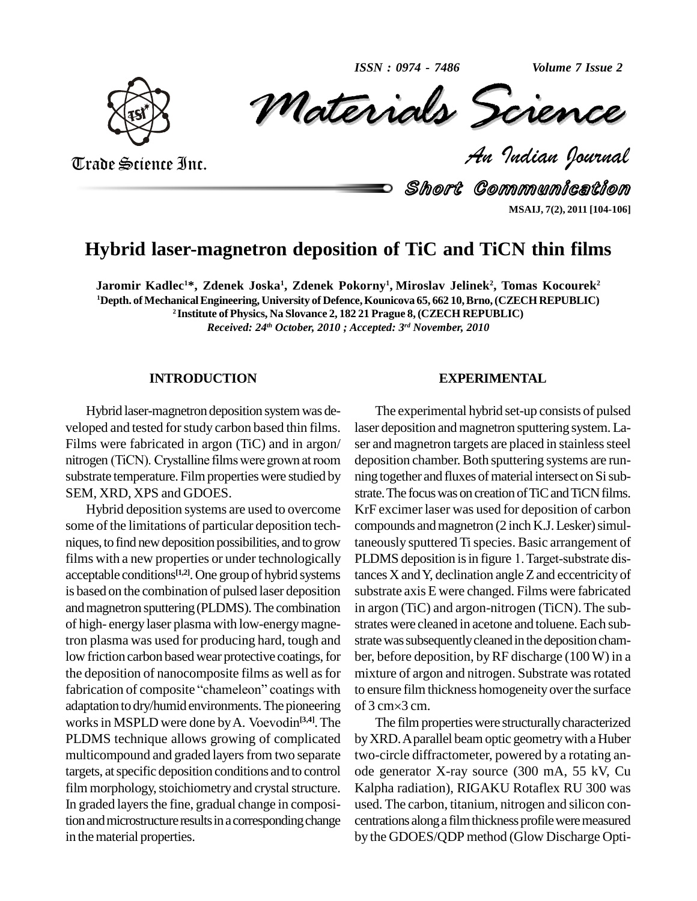*ISSN : 0974 - 7486*

*Volume 7 Issue 2*



Volume 7 Issue 2<br> *CREMCE*<br>Padian Pournal ISSN: 0974 - 7486 Volume 7 Issue 2

Trade Science Inc. Trade Science Inc.

Short Communication **MSAIJ, 7(2), 2011 [104-106]**

# **Hybrid laser-magnetron deposition of TiC and TiCN thin films**

Jaromir Kadlec<sup>1\*</sup>, Zdenek Joska<sup>1</sup>, Zdenek Pokorny<sup>1</sup>, Miroslav Jelinek<sup>2</sup>, Tomas Kocourek<sup>2</sup> **<sup>1</sup>Depth. ofMechanicalEngineering, University of Defence,Kounicova 65, 662 10,Brno,(CZECHREPUBLIC) <sup>2</sup> Institute of Physics, Na Slovance 2, 182 21 Prague 8,(CZECH REPUBLIC)** *Received: 24 th October, 2010 ; Accepted: 3 rd November, 2010*

# **INTRODUCTION**

Hybrid laser-magnetron deposition systemwas de veloped and tested for study carbon based thin films. Films were fabricated in argon (TiC) and in argon/ ser veloped and tested for study carbon based thin films. laser deposit<br>Films were fabricated in argon (TiC) and in argon/ ser and mag<br>nitrogen (TiCN). Crystalline films were grown at room deposition c substrate temperature. Film properties were studied by SEM, XRD, XPS and GDOES.

Hybrid deposition systems are used to overcome some of the limitations of particular deposition tech niques, to find new deposition possibilities, and to grow acceptable conditions<sup>[1,2]</sup>. One group of hybrid systems tance is based on the combination of pulsed laser deposition andmagnetron sputtering(PLDMS).The combination of high- energy laser plasma with low-energymagnetron plasma was used for producing hard, tough and low friction carbon based wear protective coatings, for the deposition of nanocomposite films as well as for low friction carbon based wear protective coatings, for ber, be<br>the deposition of nanocomposite films as well as for mixtur<br>fabrication of composite "chameleon" coatings with to ensu adaptation to dry/humid environments. The pioneering of  $3 \text{ cm} \times 3 \text{ cm}$ . fabrication of composite "chameleon" coatings with<br>adaptation to dry/humid environments. The pioneering<br>works in MSPLD were done by A. Voevodin<sup>[3,4]</sup>. The works in MSPLD were done by A. Voevodin<sup>[3,4]</sup>. The PLDMS technique allows growing of complicated multicompound and graded layers from two separate targets, atspecific deposition conditions and to control film morphology, stoichiometry and crystal structure. In graded layers the fine, gradual change in composition and microstructure results in a corresponding change in the material properties.

#### **EXPERIMENTAL**

films with a new properties or under technologically PLDMS deposition is in figure 1. Target-substrate dis-The experimental hybrid set-up consists of pulsed laser deposition and magnetron sputtering system. Laser and magnetron targets are placed in stainless steel deposition chamber. Both sputtering systems are running together and fluxes of material intersect on Si substrate. The focus was on creation of TiC and TiCN films. KrF excimer laser was used for deposition of carbon compounds and magnetron  $(2 \text{ inch K.J. Lesker})$  simultaneously sputtered Tispecies. Basic arrangement of compounds and magnetron (2 inch K.J. Lesker) simul-<br>taneously sputtered Ti species. Basic arrangement of<br>PLDMS deposition is in figure 1. Target-substrate distances  $X$  and  $Y$ , declination angle  $Z$  and eccentricity of substrate axis E were changed. Films were fabricated in argon (TiC) and argon-nitrogen (TiCN). The sub strates were cleaned in acetone and toluene.Each sub strate was subsequently cleaned in the deposition chamber, before deposition, byRF discharge (100W) in a mixture of argon and nitrogen. Substrate was rotated to ensure film thickness homogeneity over the surface mixture of argon an<br>to ensure film thickr<br>of 3 cm×3 cm.

> The film properties were structurally characterized byXRD.Aparallel beamoptic geometrywith a Huber two-circle diffractometer, powered by a rotating an ode generator X-ray source (300 mA, 55 kV, Cu Kalpha radiation), RIGAKU Rotaflex RU 300 was used. The carbon, titanium, nitrogen and silicon con centrations along a film thickness profile were measured by the GDOES/QDP method (Glow Discharge Opti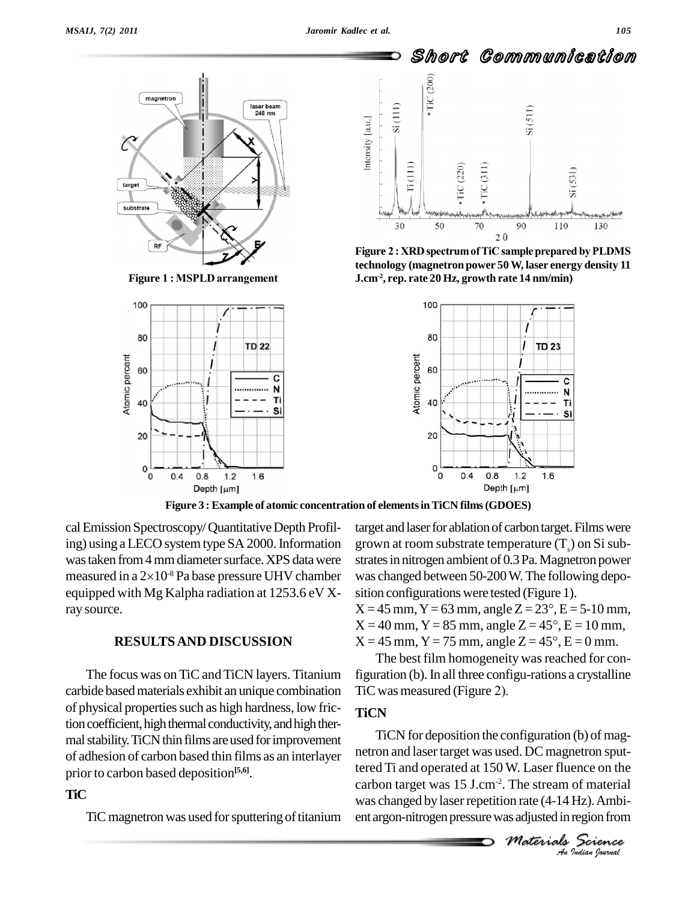100

80

60

40

20

0

0

 $0.4$ 

Atomic percent



I

I

**TD 22** 

 $1.6$ 

C

N

Ti

Si



**technology (magnetron power 50W, laser energy density 11 J.cm-2 , rep. rate 20 Hz, growth rate 14 nm/min)**



**Figure 3 : Example of atomic concentration of elementsinTiCN films(GDOES)**

cal Emission Spectroscopy/ Quantitative Depth Profiling) using a LECO system type SA 2000. Information was taken from 4 mm diameter surface. XPS data were strates in nitrogen ambient of 0.3 Pa. Magnetron power ing) using a LECO system type SA 2000. Information grows taken from 4 mm diameter surface. XPS data were strameasured in a  $2\times10^{-8}$  Pa base pressure UHV chamber was equipped with Mg Kalpha radiation at 1253.6 eV Xray source.

 $0.8$ 

Depth [µm]

 $1.2$ 

The focus was on TiC and TiCN layers. Titanium carbide based materials exhibit an unique combination TiC was measured (Figure 2). of physical properties such as high hardness, low friction coefficient, high thermal conductivity, and high thermal stability. TiCN thin films are used for improvement of adhesion of carbon based thin films as an interlayer prior to carbon based deposition **[5,6]**.

# **TiC**

TiC magnetron was used for sputtering of titanium

target and laser for ablation of carbon target. Films were grown at room substrate temperature  $(T_{s})$  on Si subwas changed between 50-200W.The following depo sition configurations were tested (Figure 1). was changed between 50-200 W. The following deposition configurations were tested (Figure 1).<br> $X = 45$  mm, Y = 63 mm, angle Z = 23°, E = 5-10 mm,

**RESULTS AND DISCUSSION**  $X = 45$  mm,  $Y = 75$  mm, angle  $Z = 45^\circ$ ,  $E = 0$  mm. sition configurations were tested (Figure 1).<br>X = 45 mm, Y = 63 mm, angle Z =  $23^{\circ}$ , E = 5-10 mm,<br>X = 40 mm, Y = 85 mm, angle Z =  $45^{\circ}$ , E = 10 mm,  $X = 45$  mm,  $Y = 63$  mm, angle  $Z = 23^{\circ}$ ,  $E = 5\text{-}10$  mm,<br> $X = 40$  mm,  $Y = 85$  mm, angle  $Z = 45^{\circ}$ ,  $E = 10$  mm,<br> $X = 45$  mm,  $Y = 75$  mm, angle  $Z = 45^{\circ}$ ,  $E = 0$  mm.

> The best film homogeneity was reached for configuration (b).In all three configu-rations a crystalline The best film homogeneity wa<br>figuration (b). In all three configu-r.<br>TiC was measured (Figure 2).

# **TiCN**

**W.** Laser fluence on the<br>
The stream of material<br>
on rate (4-14 Hz). Ambi-<br>
as adjusted in region from<br> *Materials* Science *An*netron and lasertarget was used. DC magnetron sput-TiCN for deposition the configuration (b) of magtered Ti and operated at 150 W. Laser fluence on the carbon target was 15 J.cm-2 . The stream of material was changed by laser repetition rate (4-14 Hz). Ambient argon-nitrogen pressure was adjusted in region from